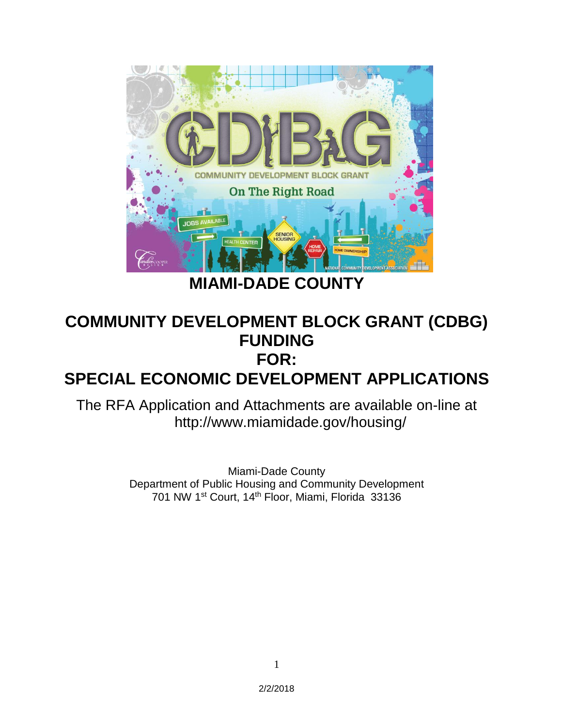

# **COMMUNITY DEVELOPMENT BLOCK GRANT (CDBG) FUNDING FOR:**

# **SPECIAL ECONOMIC DEVELOPMENT APPLICATIONS**

The RFA Application and Attachments are available on-line at http://www.miamidade.gov/housing/

> Miami-Dade County Department of Public Housing and Community Development 701 NW 1st Court, 14th Floor, Miami, Florida 33136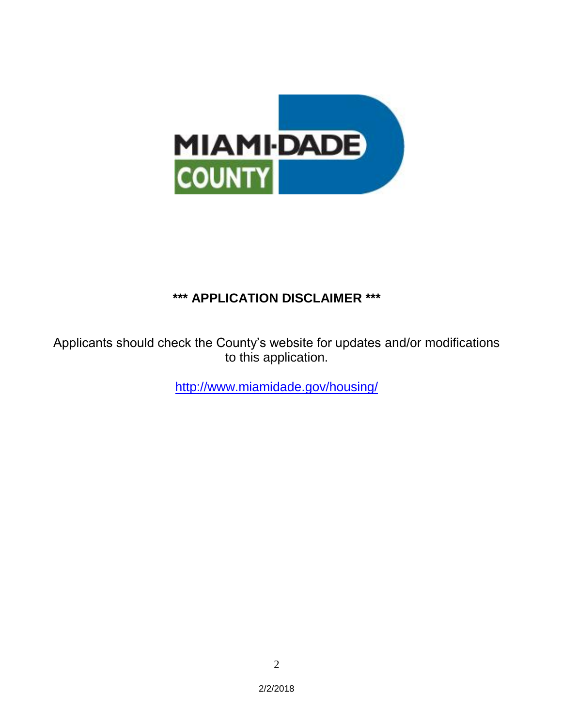

## **\*\*\* APPLICATION DISCLAIMER \*\*\***

Applicants should check the County's website for updates and/or modifications to this application.

<http://www.miamidade.gov/housing/>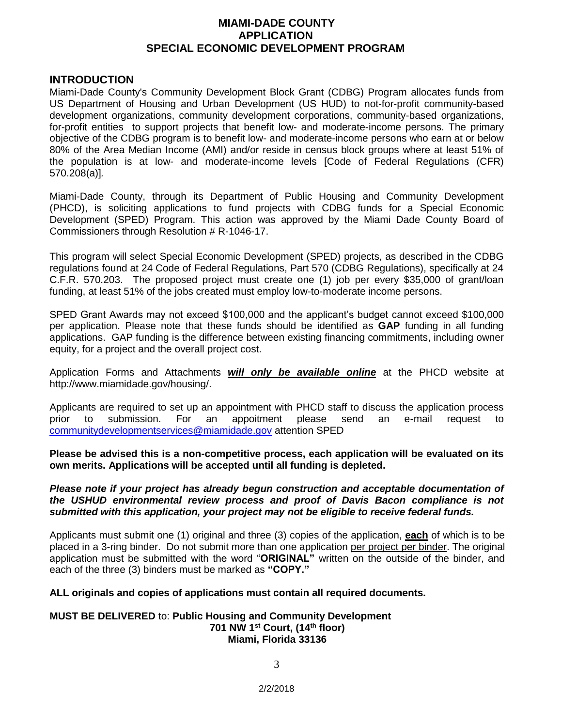### **MIAMI-DADE COUNTY APPLICATION SPECIAL ECONOMIC DEVELOPMENT PROGRAM**

#### **INTRODUCTION**

Miami-Dade County's Community Development Block Grant (CDBG) Program allocates funds from US Department of Housing and Urban Development (US HUD) to not-for-profit community-based development organizations, community development corporations, community-based organizations, for-profit entities to support projects that benefit low- and moderate-income persons. The primary objective of the CDBG program is to benefit low- and moderate-income persons who earn at or below 80% of the Area Median Income (AMI) and/or reside in census block groups where at least 51% of the population is at low- and moderate-income levels [Code of Federal Regulations (CFR) 570.208(a)]*.* 

Miami-Dade County, through its Department of Public Housing and Community Development (PHCD), is soliciting applications to fund projects with CDBG funds for a Special Economic Development (SPED) Program. This action was approved by the Miami Dade County Board of Commissioners through Resolution # R-1046-17.

This program will select Special Economic Development (SPED) projects, as described in the CDBG regulations found at 24 Code of Federal Regulations, Part 570 (CDBG Regulations), specifically at 24 C.F.R. 570.203. The proposed project must create one (1) job per every \$35,000 of grant/loan funding, at least 51% of the jobs created must employ low-to-moderate income persons.

SPED Grant Awards may not exceed \$100,000 and the applicant's budget cannot exceed \$100,000 per application. Please note that these funds should be identified as **GAP** funding in all funding applications. GAP funding is the difference between existing financing commitments, including owner equity, for a project and the overall project cost.

Application Forms and Attachments *will only be available online* at the PHCD website at http://www.miamidade.gov/housing/.

Applicants are required to set up an appointment with PHCD staff to discuss the application process prior to submission. For an appoitment please send an e-mail request to [communitydevelopmentservices@miamidade.gov](mailto:communitydevelopmentservices@miamidade.gov) attention SPED

**Please be advised this is a non-competitive process, each application will be evaluated on its own merits. Applications will be accepted until all funding is depleted.** 

#### *Please note if your project has already begun construction and acceptable documentation of the USHUD environmental review process and proof of Davis Bacon compliance is not submitted with this application, your project may not be eligible to receive federal funds.*

Applicants must submit one (1) original and three (3) copies of the application, **each** of which is to be placed in a 3-ring binder. Do not submit more than one application per project per binder. The original application must be submitted with the word "**ORIGINAL"** written on the outside of the binder, and each of the three (3) binders must be marked as **"COPY."**

#### **ALL originals and copies of applications must contain all required documents.**

#### **MUST BE DELIVERED** to: **Public Housing and Community Development 701 NW 1st Court, (14th floor) Miami, Florida 33136**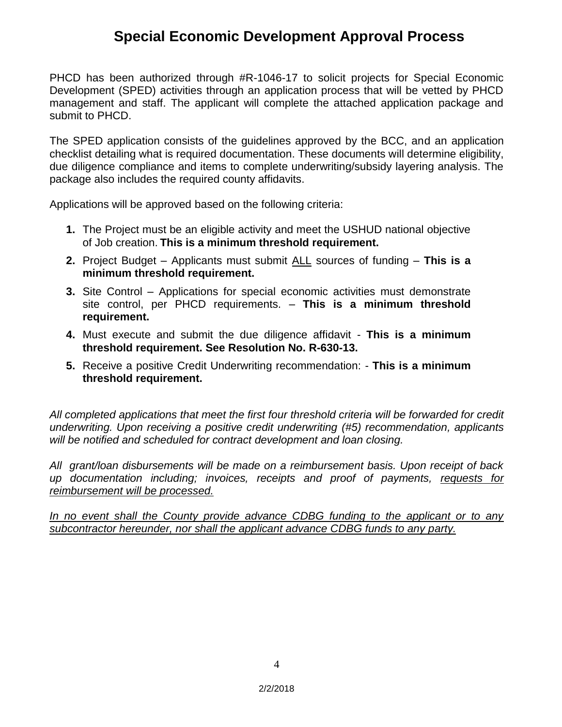## **Special Economic Development Approval Process**

PHCD has been authorized through #R-1046-17 to solicit projects for Special Economic Development (SPED) activities through an application process that will be vetted by PHCD management and staff. The applicant will complete the attached application package and submit to PHCD.

The SPED application consists of the guidelines approved by the BCC, and an application checklist detailing what is required documentation. These documents will determine eligibility, due diligence compliance and items to complete underwriting/subsidy layering analysis. The package also includes the required county affidavits.

Applications will be approved based on the following criteria:

- **1.** The Project must be an eligible activity and meet the USHUD national objective of Job creation. **This is a minimum threshold requirement.**
- **2.** Project Budget Applicants must submit ALL sources of funding **This is a minimum threshold requirement.**
- **3.** Site Control Applications for special economic activities must demonstrate site control, per PHCD requirements. – **This is a minimum threshold requirement.**
- **4.** Must execute and submit the due diligence affidavit **This is a minimum threshold requirement. See Resolution No. R-630-13.**
- **5.** Receive a positive Credit Underwriting recommendation: **This is a minimum threshold requirement.**

*All completed applications that meet the first four threshold criteria will be forwarded for credit underwriting. Upon receiving a positive credit underwriting (#5) recommendation, applicants will be notified and scheduled for contract development and loan closing.* 

*All grant/loan disbursements will be made on a reimbursement basis. Upon receipt of back up documentation including; invoices, receipts and proof of payments, requests for reimbursement will be processed.* 

*In no event shall the County provide advance CDBG funding to the applicant or to any subcontractor hereunder, nor shall the applicant advance CDBG funds to any party.*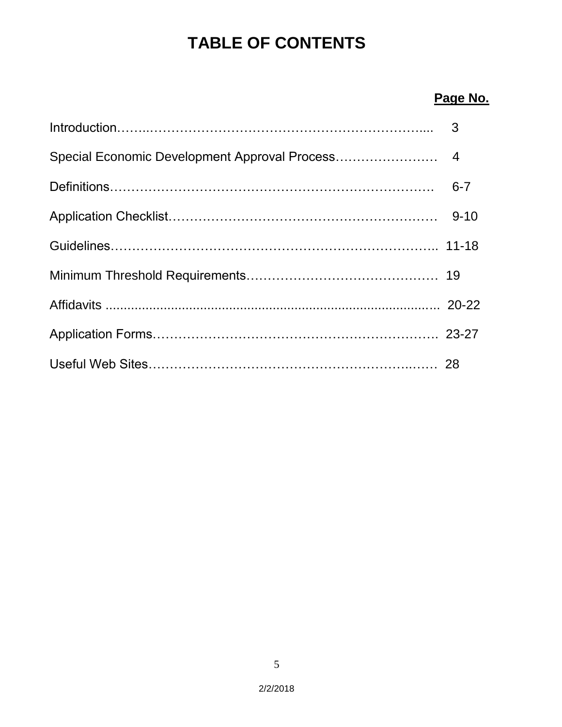# **TABLE OF CONTENTS**

## **Page No.**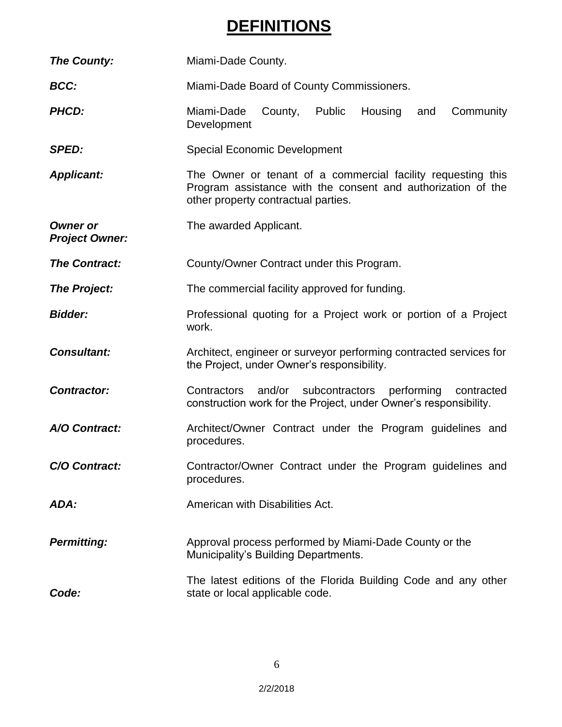# **DEFINITIONS**

| <b>The County:</b>                       | Miami-Dade County.                                                                                                                                                  |  |  |  |  |  |
|------------------------------------------|---------------------------------------------------------------------------------------------------------------------------------------------------------------------|--|--|--|--|--|
| <b>BCC:</b>                              | Miami-Dade Board of County Commissioners.                                                                                                                           |  |  |  |  |  |
| <b>PHCD:</b>                             | Miami-Dade<br>County,<br>Public<br>Housing<br>Community<br>and<br>Development                                                                                       |  |  |  |  |  |
| <b>SPED:</b>                             | <b>Special Economic Development</b>                                                                                                                                 |  |  |  |  |  |
| <b>Applicant:</b>                        | The Owner or tenant of a commercial facility requesting this<br>Program assistance with the consent and authorization of the<br>other property contractual parties. |  |  |  |  |  |
| <b>Owner or</b><br><b>Project Owner:</b> | The awarded Applicant.                                                                                                                                              |  |  |  |  |  |
| <b>The Contract:</b>                     | County/Owner Contract under this Program.                                                                                                                           |  |  |  |  |  |
| <b>The Project:</b>                      | The commercial facility approved for funding.                                                                                                                       |  |  |  |  |  |
| <b>Bidder:</b>                           | Professional quoting for a Project work or portion of a Project<br>work.                                                                                            |  |  |  |  |  |
| <b>Consultant:</b>                       | Architect, engineer or surveyor performing contracted services for<br>the Project, under Owner's responsibility.                                                    |  |  |  |  |  |
| <b>Contractor:</b>                       | performing<br>Contractors<br>and/or<br>subcontractors<br>contracted<br>construction work for the Project, under Owner's responsibility.                             |  |  |  |  |  |
| A/O Contract:                            | Architect/Owner Contract under the Program guidelines and<br>procedures.                                                                                            |  |  |  |  |  |
| C/O Contract:                            | Contractor/Owner Contract under the Program guidelines and<br>procedures.                                                                                           |  |  |  |  |  |
| ADA:                                     | American with Disabilities Act.                                                                                                                                     |  |  |  |  |  |
| <b>Permitting:</b>                       | Approval process performed by Miami-Dade County or the<br>Municipality's Building Departments.                                                                      |  |  |  |  |  |
| Code:                                    | The latest editions of the Florida Building Code and any other<br>state or local applicable code.                                                                   |  |  |  |  |  |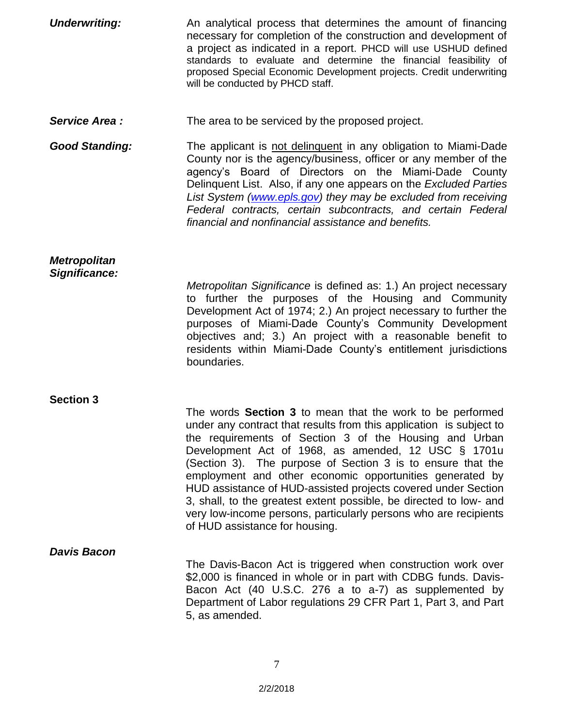| <b>Underwriting:</b>  | An analytical process that determines the amount of financing                                                                                                                                                                                                                                                                                                                                                                                                                                                                                                                                                                    |
|-----------------------|----------------------------------------------------------------------------------------------------------------------------------------------------------------------------------------------------------------------------------------------------------------------------------------------------------------------------------------------------------------------------------------------------------------------------------------------------------------------------------------------------------------------------------------------------------------------------------------------------------------------------------|
|                       | necessary for completion of the construction and development of<br>a project as indicated in a report. PHCD will use USHUD defined<br>standards to evaluate and determine the financial feasibility of<br>proposed Special Economic Development projects. Credit underwriting<br>will be conducted by PHCD staff.                                                                                                                                                                                                                                                                                                                |
| Service Area:         | The area to be serviced by the proposed project.                                                                                                                                                                                                                                                                                                                                                                                                                                                                                                                                                                                 |
| <b>Good Standing:</b> | The applicant is not delinquent in any obligation to Miami-Dade<br>County nor is the agency/business, officer or any member of the<br>agency's Board of Directors on the Miami-Dade County<br>Delinquent List. Also, if any one appears on the Excluded Parties<br>List System (www.epls.gov) they may be excluded from receiving<br>Federal contracts, certain subcontracts, and certain Federal<br>financial and nonfinancial assistance and benefits.                                                                                                                                                                         |
| <b>Metropolitan</b>   |                                                                                                                                                                                                                                                                                                                                                                                                                                                                                                                                                                                                                                  |
| Significance:         | Metropolitan Significance is defined as: 1.) An project necessary<br>to further the purposes of the Housing and Community<br>Development Act of 1974; 2.) An project necessary to further the<br>purposes of Miami-Dade County's Community Development<br>objectives and; 3.) An project with a reasonable benefit to<br>residents within Miami-Dade County's entitlement jurisdictions<br>boundaries.                                                                                                                                                                                                                           |
| <b>Section 3</b>      |                                                                                                                                                                                                                                                                                                                                                                                                                                                                                                                                                                                                                                  |
|                       | The words <b>Section 3</b> to mean that the work to be performed<br>under any contract that results from this application is subject to<br>the requirements of Section 3 of the Housing and Urban<br>Development Act of 1968, as amended, 12 USC § 1701u<br>(Section 3). The purpose of Section 3 is to ensure that the<br>employment and other economic opportunities generated by<br>HUD assistance of HUD-assisted projects covered under Section<br>3, shall, to the greatest extent possible, be directed to low- and<br>very low-income persons, particularly persons who are recipients<br>of HUD assistance for housing. |
| <b>Davis Bacon</b>    | The Davis-Bacon Act is triggered when construction work over                                                                                                                                                                                                                                                                                                                                                                                                                                                                                                                                                                     |
|                       | \$2,000 is financed in whole or in part with CDBG funds. Davis-<br>Bacon Act (40 U.S.C. 276 a to a-7) as supplemented by<br>Department of Labor regulations 29 CFR Part 1, Part 3, and Part<br>5, as amended.                                                                                                                                                                                                                                                                                                                                                                                                                    |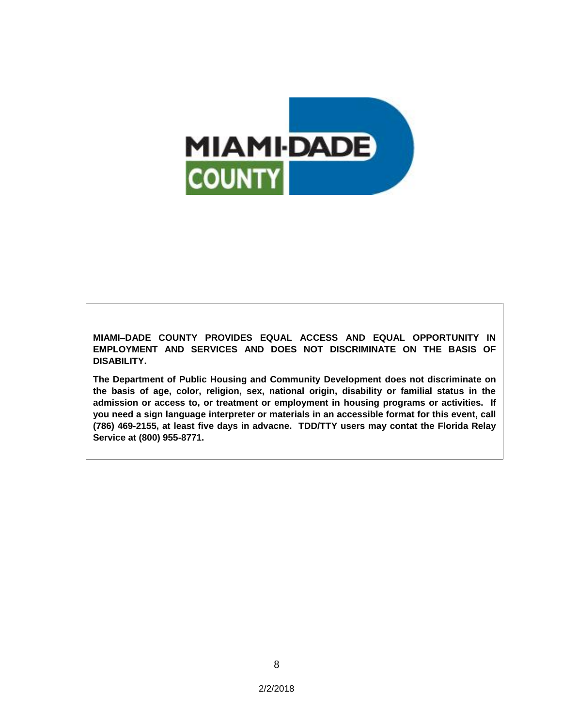

**MIAMI–DADE COUNTY PROVIDES EQUAL ACCESS AND EQUAL OPPORTUNITY IN EMPLOYMENT AND SERVICES AND DOES NOT DISCRIMINATE ON THE BASIS OF DISABILITY.**

**The Department of Public Housing and Community Development does not discriminate on the basis of age, color, religion, sex, national origin, disability or familial status in the admission or access to, or treatment or employment in housing programs or activities. If you need a sign language interpreter or materials in an accessible format for this event, call (786) 469-2155, at least five days in advacne. TDD/TTY users may contat the Florida Relay Service at (800) 955-8771.**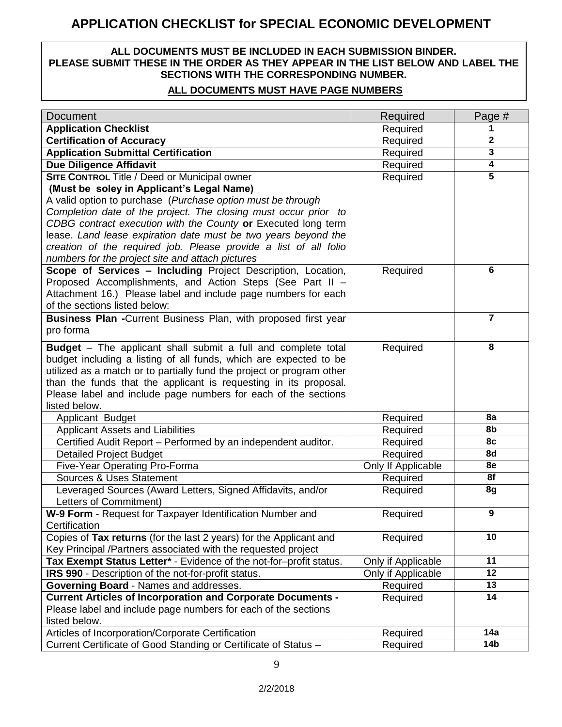## **APPLICATION CHECKLIST for SPECIAL ECONOMIC DEVELOPMENT**

### **ALL DOCUMENTS MUST BE INCLUDED IN EACH SUBMISSION BINDER. PLEASE SUBMIT THESE IN THE ORDER AS THEY APPEAR IN THE LIST BELOW AND LABEL THE SECTIONS WITH THE CORRESPONDING NUMBER.**

### **ALL DOCUMENTS MUST HAVE PAGE NUMBERS**

| <b>Document</b>                                                                                                           | Required                       | Page #                  |
|---------------------------------------------------------------------------------------------------------------------------|--------------------------------|-------------------------|
| <b>Application Checklist</b>                                                                                              | Required                       | 1                       |
| <b>Certification of Accuracy</b>                                                                                          | Required                       | $\mathbf 2$             |
| <b>Application Submittal Certification</b>                                                                                | Required                       | $\overline{\mathbf{3}}$ |
| <b>Due Diligence Affidavit</b>                                                                                            | Required                       | $\overline{4}$          |
| <b>SITE CONTROL Title / Deed or Municipal owner</b>                                                                       | Required                       | $\overline{5}$          |
| (Must be soley in Applicant's Legal Name)                                                                                 |                                |                         |
| A valid option to purchase (Purchase option must be through                                                               |                                |                         |
| Completion date of the project. The closing must occur prior to                                                           |                                |                         |
| CDBG contract execution with the County or Executed long term                                                             |                                |                         |
| lease. Land lease expiration date must be two years beyond the                                                            |                                |                         |
| creation of the required job. Please provide a list of all folio                                                          |                                |                         |
| numbers for the project site and attach pictures                                                                          |                                |                         |
| Scope of Services - Including Project Description, Location,                                                              | Required                       | 6                       |
| Proposed Accomplishments, and Action Steps (See Part II -                                                                 |                                |                         |
| Attachment 16.) Please label and include page numbers for each                                                            |                                |                         |
| of the sections listed below:                                                                                             |                                |                         |
| Business Plan -Current Business Plan, with proposed first year                                                            |                                | 7                       |
| pro forma                                                                                                                 |                                |                         |
| <b>Budget</b> – The applicant shall submit a full and complete total                                                      | Required                       | 8                       |
| budget including a listing of all funds, which are expected to be                                                         |                                |                         |
| utilized as a match or to partially fund the project or program other                                                     |                                |                         |
| than the funds that the applicant is requesting in its proposal.                                                          |                                |                         |
| Please label and include page numbers for each of the sections                                                            |                                |                         |
| listed below.                                                                                                             |                                |                         |
| Applicant Budget                                                                                                          | Required                       | 8a                      |
| <b>Applicant Assets and Liabilities</b>                                                                                   | Required                       | 8b                      |
| Certified Audit Report - Performed by an independent auditor.                                                             | Required                       | 8c                      |
| <b>Detailed Project Budget</b>                                                                                            | Required                       | 8d                      |
| Five-Year Operating Pro-Forma                                                                                             | Only If Applicable             | 8e                      |
| <b>Sources &amp; Uses Statement</b>                                                                                       | Required                       | 8f                      |
| Leveraged Sources (Award Letters, Signed Affidavits, and/or                                                               | Required                       | 8g                      |
| Letters of Commitment)                                                                                                    |                                |                         |
| W-9 Form - Request for Taxpayer Identification Number and                                                                 | Required                       | 9                       |
| Certification                                                                                                             |                                | 10                      |
| Copies of Tax returns (for the last 2 years) for the Applicant and                                                        | Required                       |                         |
| Key Principal /Partners associated with the requested project                                                             |                                | 11                      |
| Tax Exempt Status Letter* - Evidence of the not-for-profit status.<br>IRS 990 - Description of the not-for-profit status. | Only if Applicable             | 12                      |
| Governing Board - Names and addresses.                                                                                    | Only if Applicable<br>Required | 13                      |
| <b>Current Articles of Incorporation and Corporate Documents -</b>                                                        | Required                       | 14                      |
| Please label and include page numbers for each of the sections                                                            |                                |                         |
| listed below.                                                                                                             |                                |                         |
| Articles of Incorporation/Corporate Certification                                                                         | Required                       | 14a                     |
| Current Certificate of Good Standing or Certificate of Status -                                                           | Required                       | 14 <sub>b</sub>         |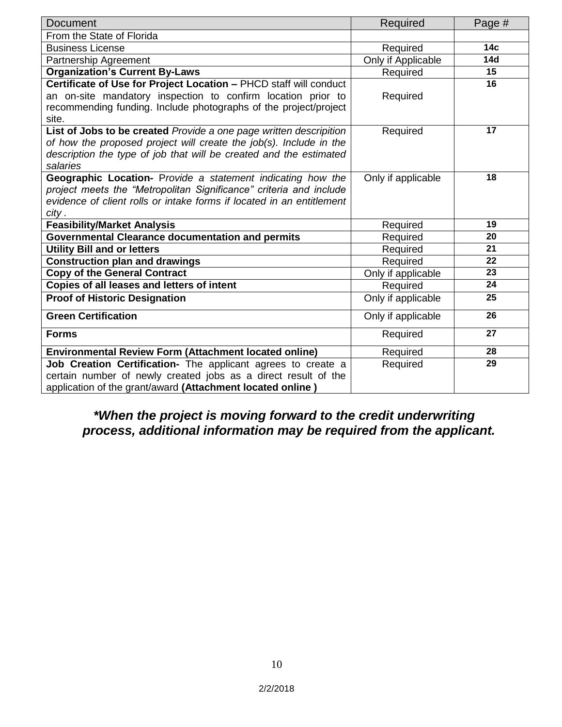| <b>Document</b>                                                       | Required           | Page #          |
|-----------------------------------------------------------------------|--------------------|-----------------|
| From the State of Florida                                             |                    |                 |
| <b>Business License</b>                                               | Required           | 14 <sub>c</sub> |
| Partnership Agreement                                                 | Only if Applicable | 14d             |
| <b>Organization's Current By-Laws</b>                                 | Required           | 15              |
| Certificate of Use for Project Location - PHCD staff will conduct     |                    | 16              |
| an on-site mandatory inspection to confirm location prior to          | Required           |                 |
| recommending funding. Include photographs of the project/project      |                    |                 |
| site.                                                                 |                    |                 |
| List of Jobs to be created Provide a one page written descripition    | Required           | 17              |
| of how the proposed project will create the job(s). Include in the    |                    |                 |
| description the type of job that will be created and the estimated    |                    |                 |
| salaries                                                              |                    |                 |
| Geographic Location- Provide a statement indicating how the           | Only if applicable | 18              |
| project meets the "Metropolitan Significance" criteria and include    |                    |                 |
| evidence of client rolls or intake forms if located in an entitlement |                    |                 |
| city .                                                                |                    |                 |
| <b>Feasibility/Market Analysis</b>                                    | Required           | 19              |
| <b>Governmental Clearance documentation and permits</b>               | Required           | 20              |
| <b>Utility Bill and or letters</b>                                    | Required           | 21              |
| <b>Construction plan and drawings</b>                                 | Required           | 22              |
| <b>Copy of the General Contract</b>                                   | Only if applicable | 23              |
| Copies of all leases and letters of intent                            | Required           | 24              |
| <b>Proof of Historic Designation</b>                                  | Only if applicable | 25              |
| <b>Green Certification</b>                                            | Only if applicable | 26              |
| <b>Forms</b>                                                          | Required           | 27              |
| <b>Environmental Review Form (Attachment located online)</b>          | Required           | 28              |
| Job Creation Certification- The applicant agrees to create a          | Required           | 29              |
| certain number of newly created jobs as a direct result of the        |                    |                 |
| application of the grant/award (Attachment located online)            |                    |                 |

## *\*When the project is moving forward to the credit underwriting process, additional information may be required from the applicant.*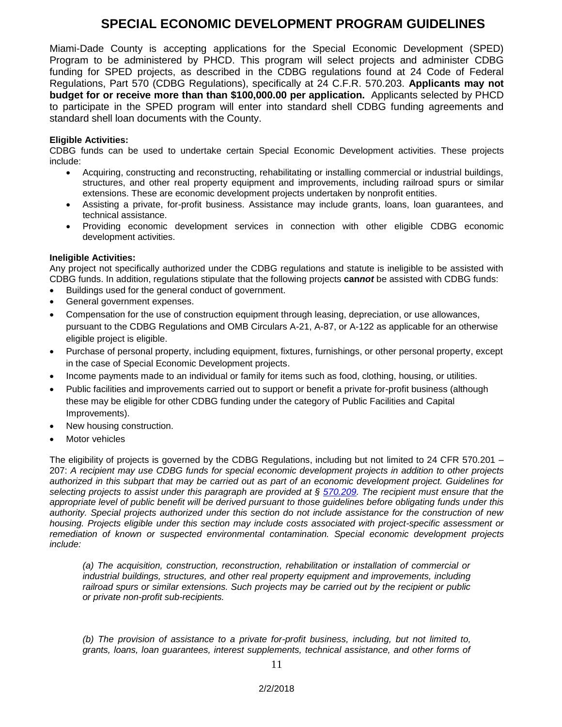## **SPECIAL ECONOMIC DEVELOPMENT PROGRAM GUIDELINES**

Miami-Dade County is accepting applications for the Special Economic Development (SPED) Program to be administered by PHCD. This program will select projects and administer CDBG funding for SPED projects, as described in the CDBG regulations found at 24 Code of Federal Regulations, Part 570 (CDBG Regulations), specifically at 24 C.F.R. 570.203. **Applicants may not budget for or receive more than than \$100,000.00 per application.** Applicants selected by PHCD to participate in the SPED program will enter into standard shell CDBG funding agreements and standard shell loan documents with the County.

#### **Eligible Activities:**

CDBG funds can be used to undertake certain Special Economic Development activities. These projects include:

- Acquiring, constructing and reconstructing, rehabilitating or installing commercial or industrial buildings, structures, and other real property equipment and improvements, including railroad spurs or similar extensions. These are economic development projects undertaken by nonprofit entities.
- Assisting a private, for-profit business. Assistance may include grants, loans, loan guarantees, and technical assistance.
- Providing economic development services in connection with other eligible CDBG economic development activities.

#### **Ineligible Activities:**

Any project not specifically authorized under the CDBG regulations and statute is ineligible to be assisted with CDBG funds. In addition, regulations stipulate that the following projects **can***not* be assisted with CDBG funds:

- Buildings used for the general conduct of government.
- General government expenses.
- Compensation for the use of construction equipment through leasing, depreciation, or use allowances, pursuant to the CDBG Regulations and OMB Circulars A-21, A-87, or A-122 as applicable for an otherwise eligible project is eligible.
- Purchase of personal property, including equipment, fixtures, furnishings, or other personal property, except in the case of Special Economic Development projects.
- Income payments made to an individual or family for items such as food, clothing, housing, or utilities.
- Public facilities and improvements carried out to support or benefit a private for-profit business (although these may be eligible for other CDBG funding under the category of Public Facilities and Capital Improvements).
- New housing construction.
- Motor vehicles

The eligibility of projects is governed by the CDBG Regulations, including but not limited to 24 CFR 570.201 – 207: *A recipient may use CDBG funds for special economic development projects in addition to other projects authorized in this subpart that may be carried out as part of an economic development project. Guidelines for selecting projects to assist under this paragraph are provided at § [570.209.](http://www.law.cornell.edu/cfr/text/24/570.209) The recipient must ensure that the appropriate level of public benefit will be derived pursuant to those guidelines before obligating funds under this authority. Special projects authorized under this section do not include assistance for the construction of new housing. Projects eligible under this section may include costs associated with project-specific assessment or remediation of known or suspected environmental contamination. Special economic development projects include:*

*(a) The acquisition, construction, reconstruction, rehabilitation or installation of commercial or industrial buildings, structures, and other real property equipment and improvements, including railroad spurs or similar extensions. Such projects may be carried out by the recipient or public or private non-profit sub-recipients.*

*(b) The provision of assistance to a private for-profit business, including, but not limited to, grants, loans, loan guarantees, interest supplements, technical assistance, and other forms of*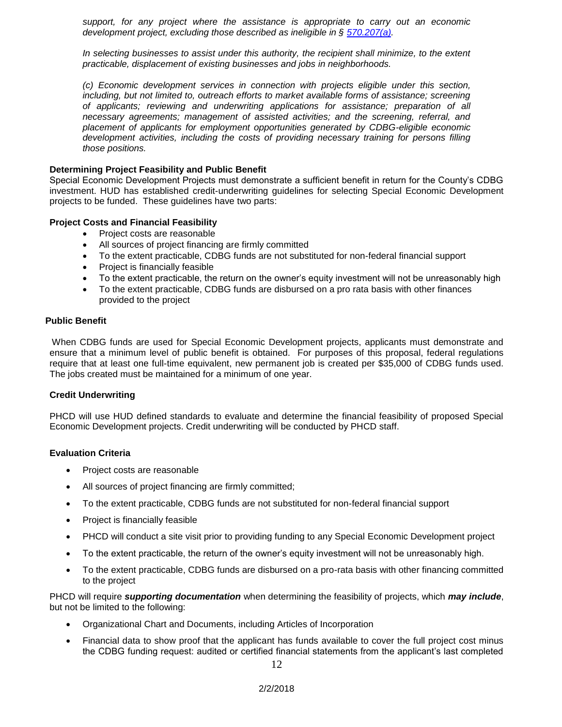*support, for any project where the assistance is appropriate to carry out an economic development project, excluding those described as ineligible in § [570.207\(a\).](http://www.law.cornell.edu/cfr/text/24/570.207#a)* 

*In selecting businesses to assist under this authority, the recipient shall minimize, to the extent practicable, displacement of existing businesses and jobs in neighborhoods.*

*(c) Economic development services in connection with projects eligible under this section, including, but not limited to, outreach efforts to market available forms of assistance; screening of applicants; reviewing and underwriting applications for assistance; preparation of all necessary agreements; management of assisted activities; and the screening, referral, and placement of applicants for employment opportunities generated by CDBG-eligible economic development activities, including the costs of providing necessary training for persons filling those positions.*

#### **Determining Project Feasibility and Public Benefit**

Special Economic Development Projects must demonstrate a sufficient benefit in return for the County's CDBG investment. HUD has established credit-underwriting guidelines for selecting Special Economic Development projects to be funded. These guidelines have two parts:

#### **Project Costs and Financial Feasibility**

- Project costs are reasonable
- All sources of project financing are firmly committed
- To the extent practicable, CDBG funds are not substituted for non-federal financial support
- Project is financially feasible
- To the extent practicable, the return on the owner's equity investment will not be unreasonably high
- To the extent practicable, CDBG funds are disbursed on a pro rata basis with other finances provided to the project

#### **Public Benefit**

When CDBG funds are used for Special Economic Development projects, applicants must demonstrate and ensure that a minimum level of public benefit is obtained. For purposes of this proposal, federal regulations require that at least one full-time equivalent, new permanent job is created per \$35,000 of CDBG funds used. The jobs created must be maintained for a minimum of one year.

#### **Credit Underwriting**

PHCD will use HUD defined standards to evaluate and determine the financial feasibility of proposed Special Economic Development projects. Credit underwriting will be conducted by PHCD staff.

#### **Evaluation Criteria**

- Project costs are reasonable
- All sources of project financing are firmly committed;
- To the extent practicable, CDBG funds are not substituted for non-federal financial support
- Project is financially feasible
- PHCD will conduct a site visit prior to providing funding to any Special Economic Development project
- To the extent practicable, the return of the owner's equity investment will not be unreasonably high.
- To the extent practicable, CDBG funds are disbursed on a pro-rata basis with other financing committed to the project

PHCD will require *supporting documentation* when determining the feasibility of projects, which *may include*, but not be limited to the following:

- Organizational Chart and Documents, including Articles of Incorporation
- Financial data to show proof that the applicant has funds available to cover the full project cost minus the CDBG funding request: audited or certified financial statements from the applicant's last completed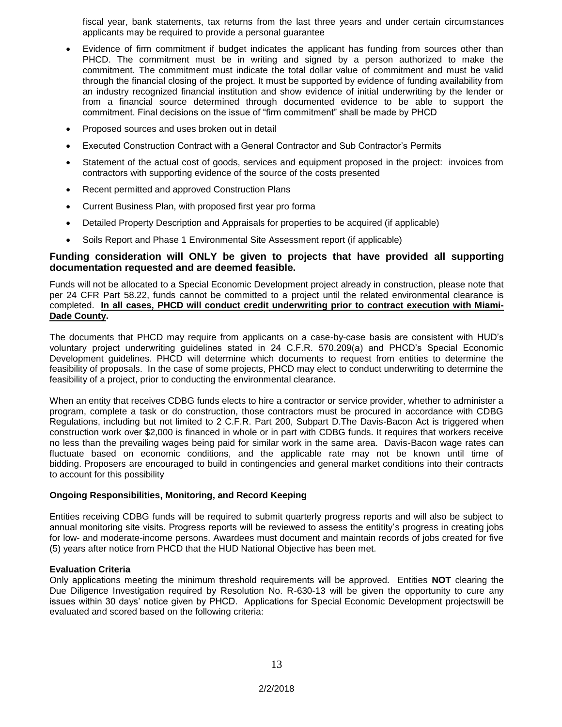fiscal year, bank statements, tax returns from the last three years and under certain circumstances applicants may be required to provide a personal guarantee

- Evidence of firm commitment if budget indicates the applicant has funding from sources other than PHCD. The commitment must be in writing and signed by a person authorized to make the commitment. The commitment must indicate the total dollar value of commitment and must be valid through the financial closing of the project. It must be supported by evidence of funding availability from an industry recognized financial institution and show evidence of initial underwriting by the lender or from a financial source determined through documented evidence to be able to support the commitment. Final decisions on the issue of "firm commitment" shall be made by PHCD
- Proposed sources and uses broken out in detail
- Executed Construction Contract with a General Contractor and Sub Contractor's Permits
- Statement of the actual cost of goods, services and equipment proposed in the project: invoices from contractors with supporting evidence of the source of the costs presented
- Recent permitted and approved Construction Plans
- Current Business Plan, with proposed first year pro forma
- Detailed Property Description and Appraisals for properties to be acquired (if applicable)
- Soils Report and Phase 1 Environmental Site Assessment report (if applicable)

#### **Funding consideration will ONLY be given to projects that have provided all supporting documentation requested and are deemed feasible.**

Funds will not be allocated to a Special Economic Development project already in construction, please note that per 24 CFR Part 58.22, funds cannot be committed to a project until the related environmental clearance is completed. **In all cases, PHCD will conduct credit underwriting prior to contract execution with Miami-Dade County.**

The documents that PHCD may require from applicants on a case-by-case basis are consistent with HUD's voluntary project underwriting guidelines stated in 24 C.F.R. 570.209(a) and PHCD's Special Economic Development guidelines. PHCD will determine which documents to request from entities to determine the feasibility of proposals. In the case of some projects, PHCD may elect to conduct underwriting to determine the feasibility of a project, prior to conducting the environmental clearance.

When an entity that receives CDBG funds elects to hire a contractor or service provider, whether to administer a program, complete a task or do construction, those contractors must be procured in accordance with CDBG Regulations, including but not limited to 2 C.F.R. Part 200, Subpart D.The Davis-Bacon Act is triggered when construction work over \$2,000 is financed in whole or in part with CDBG funds. It requires that workers receive no less than the prevailing wages being paid for similar work in the same area. Davis-Bacon wage rates can fluctuate based on economic conditions, and the applicable rate may not be known until time of bidding. Proposers are encouraged to build in contingencies and general market conditions into their contracts to account for this possibility

#### **Ongoing Responsibilities, Monitoring, and Record Keeping**

Entities receiving CDBG funds will be required to submit quarterly progress reports and will also be subject to annual monitoring site visits. Progress reports will be reviewed to assess the entitity's progress in creating jobs for low- and moderate-income persons. Awardees must document and maintain records of jobs created for five (5) years after notice from PHCD that the HUD National Objective has been met.

#### **Evaluation Criteria**

Only applications meeting the minimum threshold requirements will be approved. Entities **NOT** clearing the Due Diligence Investigation required by Resolution No. R-630-13 will be given the opportunity to cure any issues within 30 days' notice given by PHCD. Applications for Special Economic Development projectswill be evaluated and scored based on the following criteria: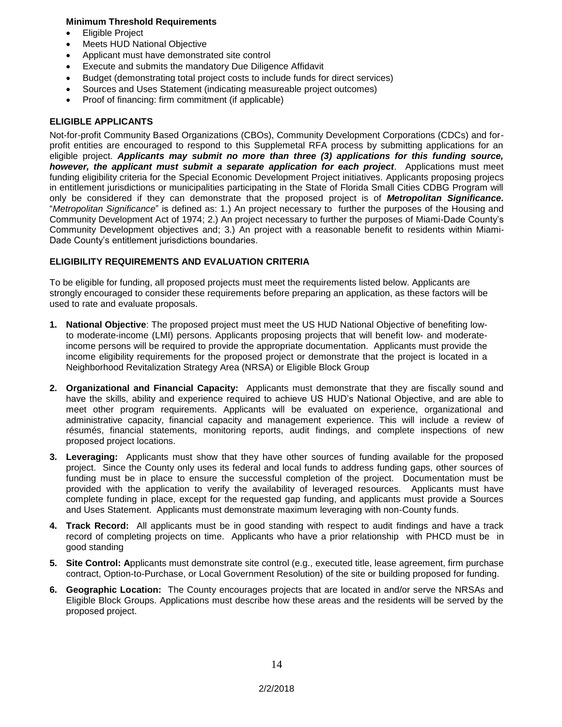#### **Minimum Threshold Requirements**

- Eligible Project
- Meets HUD National Objective
- Applicant must have demonstrated site control
- Execute and submits the mandatory Due Diligence Affidavit
- Budget (demonstrating total project costs to include funds for direct services)
- Sources and Uses Statement (indicating measureable project outcomes)
- Proof of financing: firm commitment (if applicable)

#### **ELIGIBLE APPLICANTS**

Not-for-profit Community Based Organizations (CBOs), Community Development Corporations (CDCs) and forprofit entities are encouraged to respond to this Supplemetal RFA process by submitting applications for an eligible project. *Applicants may submit no more than three (3) applications for this funding source, however, the applicant must submit a separate application for each project*. Applications must meet funding eligibility criteria for the Special Economic Development Project initiatives. Applicants proposing projecs in entitlement jurisdictions or municipalities participating in the State of Florida Small Cities CDBG Program will only be considered if they can demonstrate that the proposed project is of *Metropolitan Significance.* "*Metropolitan Significance*" is defined as: 1.) An project necessary to further the purposes of the Housing and Community Development Act of 1974; 2.) An project necessary to further the purposes of Miami-Dade County's Community Development objectives and; 3.) An project with a reasonable benefit to residents within Miami-Dade County's entitlement jurisdictions boundaries.

#### **ELIGIBILITY REQUIREMENTS AND EVALUATION CRITERIA**

To be eligible for funding, all proposed projects must meet the requirements listed below. Applicants are strongly encouraged to consider these requirements before preparing an application, as these factors will be used to rate and evaluate proposals.

- **1. National Objective**: The proposed project must meet the US HUD National Objective of benefiting lowto moderate-income (LMI) persons. Applicants proposing projects that will benefit low- and moderateincome persons will be required to provide the appropriate documentation. Applicants must provide the income eligibility requirements for the proposed project or demonstrate that the project is located in a Neighborhood Revitalization Strategy Area (NRSA) or Eligible Block Group
- **2. Organizational and Financial Capacity:** Applicants must demonstrate that they are fiscally sound and have the skills, ability and experience required to achieve US HUD's National Objective, and are able to meet other program requirements. Applicants will be evaluated on experience, organizational and administrative capacity, financial capacity and management experience. This will include a review of résumés, financial statements, monitoring reports, audit findings, and complete inspections of new proposed project locations.
- **3. Leveraging:** Applicants must show that they have other sources of funding available for the proposed project. Since the County only uses its federal and local funds to address funding gaps, other sources of funding must be in place to ensure the successful completion of the project. Documentation must be provided with the application to verify the availability of leveraged resources. Applicants must have complete funding in place, except for the requested gap funding, and applicants must provide a Sources and Uses Statement. Applicants must demonstrate maximum leveraging with non-County funds.
- **4. Track Record:** All applicants must be in good standing with respect to audit findings and have a track record of completing projects on time. Applicants who have a prior relationship with PHCD must be in good standing
- **5. Site Control: A**pplicants must demonstrate site control (e.g., executed title, lease agreement, firm purchase contract, Option-to-Purchase, or Local Government Resolution) of the site or building proposed for funding.
- **6. Geographic Location:** The County encourages projects that are located in and/or serve the NRSAs and Eligible Block Groups. Applications must describe how these areas and the residents will be served by the proposed project.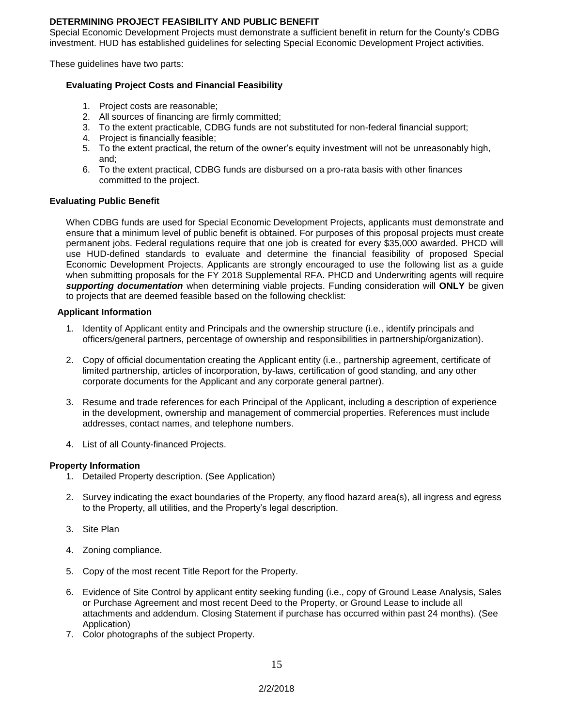#### **DETERMINING PROJECT FEASIBILITY AND PUBLIC BENEFIT**

Special Economic Development Projects must demonstrate a sufficient benefit in return for the County's CDBG investment. HUD has established guidelines for selecting Special Economic Development Project activities.

These guidelines have two parts:

#### **Evaluating Project Costs and Financial Feasibility**

- 1. Project costs are reasonable;
- 2. All sources of financing are firmly committed;
- 3. To the extent practicable, CDBG funds are not substituted for non-federal financial support;
- 4. Project is financially feasible;
- 5. To the extent practical, the return of the owner's equity investment will not be unreasonably high, and;
- 6. To the extent practical, CDBG funds are disbursed on a pro-rata basis with other finances committed to the project.

#### **Evaluating Public Benefit**

When CDBG funds are used for Special Economic Development Projects, applicants must demonstrate and ensure that a minimum level of public benefit is obtained. For purposes of this proposal projects must create permanent jobs. Federal regulations require that one job is created for every \$35,000 awarded. PHCD will use HUD-defined standards to evaluate and determine the financial feasibility of proposed Special Economic Development Projects. Applicants are strongly encouraged to use the following list as a guide when submitting proposals for the FY 2018 Supplemental RFA. PHCD and Underwriting agents will require *supporting documentation* when determining viable projects. Funding consideration will **ONLY** be given to projects that are deemed feasible based on the following checklist:

#### **Applicant Information**

- 1. Identity of Applicant entity and Principals and the ownership structure (i.e., identify principals and officers/general partners, percentage of ownership and responsibilities in partnership/organization).
- 2. Copy of official documentation creating the Applicant entity (i.e., partnership agreement, certificate of limited partnership, articles of incorporation, by-laws, certification of good standing, and any other corporate documents for the Applicant and any corporate general partner).
- 3. Resume and trade references for each Principal of the Applicant, including a description of experience in the development, ownership and management of commercial properties. References must include addresses, contact names, and telephone numbers.
- 4. List of all County-financed Projects.

#### **Property Information**

- 1. Detailed Property description. (See Application)
- 2. Survey indicating the exact boundaries of the Property, any flood hazard area(s), all ingress and egress to the Property, all utilities, and the Property's legal description.
- 3. Site Plan
- 4. Zoning compliance.
- 5. Copy of the most recent Title Report for the Property.
- 6. Evidence of Site Control by applicant entity seeking funding (i.e., copy of Ground Lease Analysis, Sales or Purchase Agreement and most recent Deed to the Property, or Ground Lease to include all attachments and addendum. Closing Statement if purchase has occurred within past 24 months). (See Application)
- 7. Color photographs of the subject Property.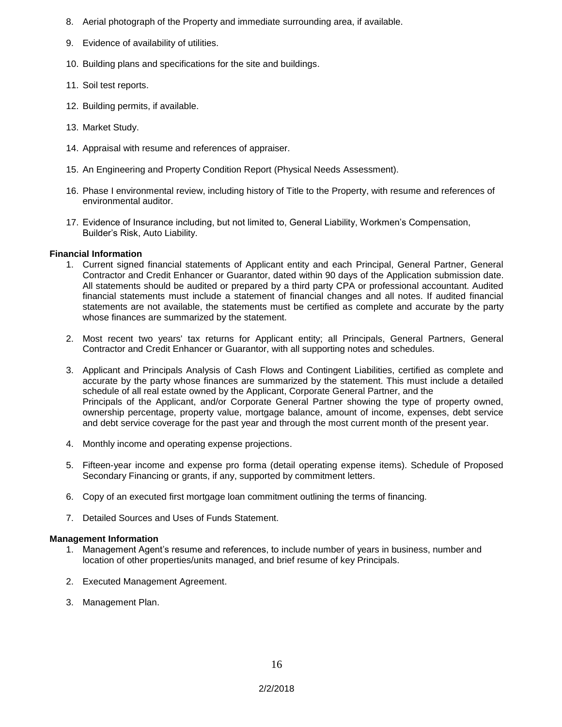- 8. Aerial photograph of the Property and immediate surrounding area, if available.
- 9. Evidence of availability of utilities.
- 10. Building plans and specifications for the site and buildings.
- 11. Soil test reports.
- 12. Building permits, if available.
- 13. Market Study.
- 14. Appraisal with resume and references of appraiser.
- 15. An Engineering and Property Condition Report (Physical Needs Assessment).
- 16. Phase I environmental review, including history of Title to the Property, with resume and references of environmental auditor.
- 17. Evidence of Insurance including, but not limited to, General Liability, Workmen's Compensation, Builder's Risk, Auto Liability.

#### **Financial Information**

- 1. Current signed financial statements of Applicant entity and each Principal, General Partner, General Contractor and Credit Enhancer or Guarantor, dated within 90 days of the Application submission date. All statements should be audited or prepared by a third party CPA or professional accountant. Audited financial statements must include a statement of financial changes and all notes. If audited financial statements are not available, the statements must be certified as complete and accurate by the party whose finances are summarized by the statement.
- 2. Most recent two years' tax returns for Applicant entity; all Principals, General Partners, General Contractor and Credit Enhancer or Guarantor, with all supporting notes and schedules.
- 3. Applicant and Principals Analysis of Cash Flows and Contingent Liabilities, certified as complete and accurate by the party whose finances are summarized by the statement. This must include a detailed schedule of all real estate owned by the Applicant, Corporate General Partner, and the Principals of the Applicant, and/or Corporate General Partner showing the type of property owned, ownership percentage, property value, mortgage balance, amount of income, expenses, debt service and debt service coverage for the past year and through the most current month of the present year.
- 4. Monthly income and operating expense projections.
- 5. Fifteen-year income and expense pro forma (detail operating expense items). Schedule of Proposed Secondary Financing or grants, if any, supported by commitment letters.
- 6. Copy of an executed first mortgage loan commitment outlining the terms of financing.
- 7. Detailed Sources and Uses of Funds Statement.

#### **Management Information**

- 1. Management Agent's resume and references, to include number of years in business, number and location of other properties/units managed, and brief resume of key Principals.
- 2. Executed Management Agreement.
- 3. Management Plan.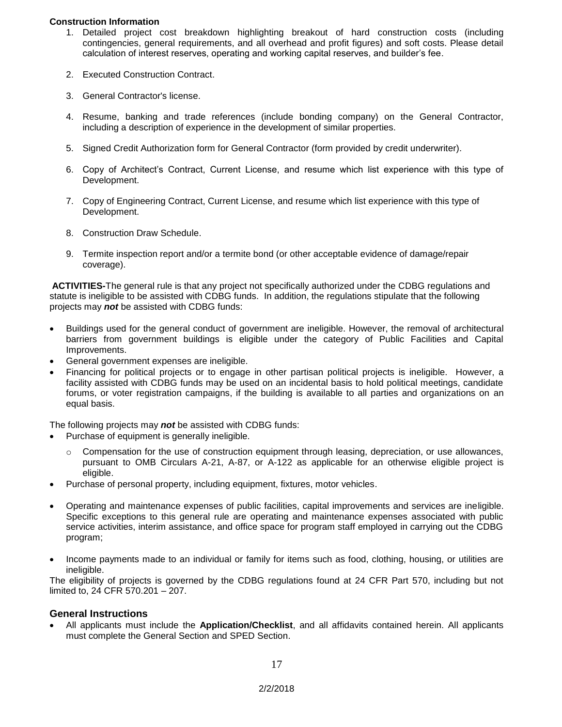#### **Construction Information**

- 1. Detailed project cost breakdown highlighting breakout of hard construction costs (including contingencies, general requirements, and all overhead and profit figures) and soft costs. Please detail calculation of interest reserves, operating and working capital reserves, and builder's fee.
- 2. Executed Construction Contract.
- 3. General Contractor's license.
- 4. Resume, banking and trade references (include bonding company) on the General Contractor, including a description of experience in the development of similar properties.
- 5. Signed Credit Authorization form for General Contractor (form provided by credit underwriter).
- 6. Copy of Architect's Contract, Current License, and resume which list experience with this type of Development.
- 7. Copy of Engineering Contract, Current License, and resume which list experience with this type of Development.
- 8. Construction Draw Schedule.
- 9. Termite inspection report and/or a termite bond (or other acceptable evidence of damage/repair coverage).

**ACTIVITIES-**The general rule is that any project not specifically authorized under the CDBG regulations and statute is ineligible to be assisted with CDBG funds. In addition, the regulations stipulate that the following projects may *not* be assisted with CDBG funds:

- Buildings used for the general conduct of government are ineligible. However, the removal of architectural barriers from government buildings is eligible under the category of Public Facilities and Capital Improvements.
- General government expenses are ineligible.
- Financing for political projects or to engage in other partisan political projects is ineligible. However, a facility assisted with CDBG funds may be used on an incidental basis to hold political meetings, candidate forums, or voter registration campaigns, if the building is available to all parties and organizations on an equal basis.

The following projects may *not* be assisted with CDBG funds:

- Purchase of equipment is generally ineligible.
	- $\circ$  Compensation for the use of construction equipment through leasing, depreciation, or use allowances, pursuant to OMB Circulars A-21, A-87, or A-122 as applicable for an otherwise eligible project is eligible.
- Purchase of personal property, including equipment, fixtures, motor vehicles.
- Operating and maintenance expenses of public facilities, capital improvements and services are ineligible. Specific exceptions to this general rule are operating and maintenance expenses associated with public service activities, interim assistance, and office space for program staff employed in carrying out the CDBG program;
- Income payments made to an individual or family for items such as food, clothing, housing, or utilities are ineligible.

The eligibility of projects is governed by the CDBG regulations found at 24 CFR Part 570, including but not limited to, 24 CFR 570.201 – 207.

#### **General Instructions**

 All applicants must include the **Application/Checklist**, and all affidavits contained herein. All applicants must complete the General Section and SPED Section.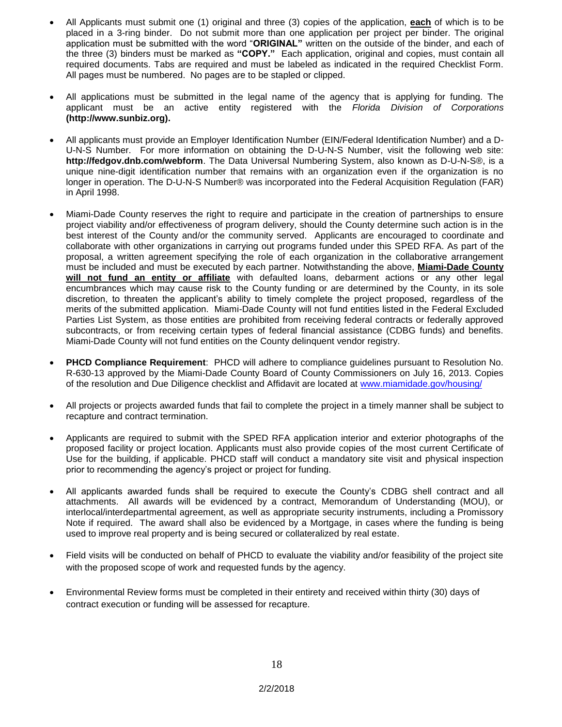- All Applicants must submit one (1) original and three (3) copies of the application, **each** of which is to be placed in a 3-ring binder. Do not submit more than one application per project per binder. The original application must be submitted with the word "**ORIGINAL"** written on the outside of the binder, and each of the three (3) binders must be marked as **"COPY."** Each application, original and copies, must contain all required documents. Tabs are required and must be labeled as indicated in the required Checklist Form. All pages must be numbered. No pages are to be stapled or clipped.
- All applications must be submitted in the legal name of the agency that is applying for funding. The applicant must be an active entity registered with the *Florida Division of Corporations*  **(http://www.sunbiz.org).**
- All applicants must provide an Employer Identification Number (EIN/Federal Identification Number) and a D-U-N-S Number. For more information on obtaining the D-U-N-S Number, visit the following web site: **http://fedgov.dnb.com/webform**. The Data Universal Numbering System, also known as D-U-N-S®, is a unique nine-digit identification number that remains with an organization even if the organization is no longer in operation. The D-U-N-S Number<sup>®</sup> was incorporated into the Federal Acquisition Regulation (FAR) in April 1998.
- Miami-Dade County reserves the right to require and participate in the creation of partnerships to ensure project viability and/or effectiveness of program delivery, should the County determine such action is in the best interest of the County and/or the community served. Applicants are encouraged to coordinate and collaborate with other organizations in carrying out programs funded under this SPED RFA. As part of the proposal, a written agreement specifying the role of each organization in the collaborative arrangement must be included and must be executed by each partner. Notwithstanding the above, **Miami-Dade County**  will not fund an entity or affiliate with defaulted loans, debarment actions or any other legal encumbrances which may cause risk to the County funding or are determined by the County, in its sole discretion, to threaten the applicant's ability to timely complete the project proposed, regardless of the merits of the submitted application. Miami-Dade County will not fund entities listed in the Federal Excluded Parties List System, as those entities are prohibited from receiving federal contracts or federally approved subcontracts, or from receiving certain types of federal financial assistance (CDBG funds) and benefits. Miami-Dade County will not fund entities on the County delinquent vendor registry.
- **PHCD Compliance Requirement**: PHCD will adhere to compliance guidelines pursuant to Resolution No. R-630-13 approved by the Miami-Dade County Board of County Commissioners on July 16, 2013. Copies of the resolution and Due Diligence checklist and Affidavit are located at [www.miamidade.gov/housing/](http://www.miamidade.gov/housing/)
- All projects or projects awarded funds that fail to complete the project in a timely manner shall be subject to recapture and contract termination.
- Applicants are required to submit with the SPED RFA application interior and exterior photographs of the proposed facility or project location. Applicants must also provide copies of the most current Certificate of Use for the building, if applicable. PHCD staff will conduct a mandatory site visit and physical inspection prior to recommending the agency's project or project for funding.
- All applicants awarded funds shall be required to execute the County's CDBG shell contract and all attachments. All awards will be evidenced by a contract, Memorandum of Understanding (MOU), or interlocal/interdepartmental agreement, as well as appropriate security instruments, including a Promissory Note if required. The award shall also be evidenced by a Mortgage, in cases where the funding is being used to improve real property and is being secured or collateralized by real estate.
- Field visits will be conducted on behalf of PHCD to evaluate the viability and/or feasibility of the project site with the proposed scope of work and requested funds by the agency.
- Environmental Review forms must be completed in their entirety and received within thirty (30) days of contract execution or funding will be assessed for recapture.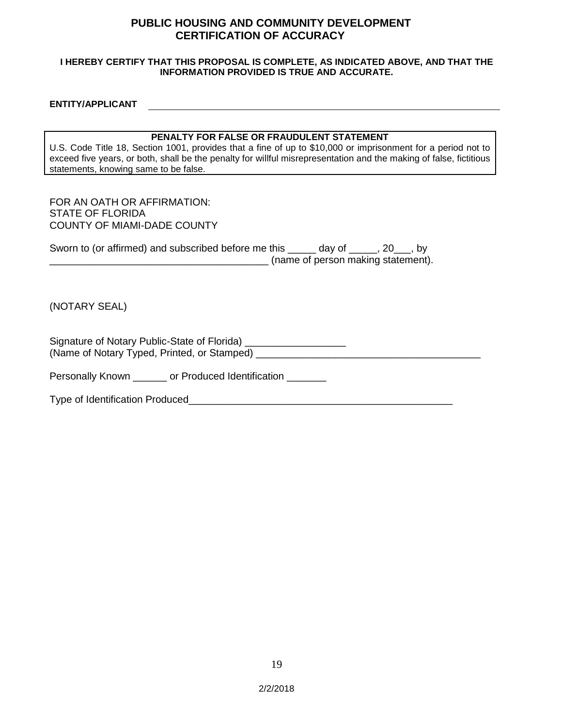### **PUBLIC HOUSING AND COMMUNITY DEVELOPMENT CERTIFICATION OF ACCURACY**

#### **I HEREBY CERTIFY THAT THIS PROPOSAL IS COMPLETE, AS INDICATED ABOVE, AND THAT THE INFORMATION PROVIDED IS TRUE AND ACCURATE.**

#### **ENTITY/APPLICANT**

#### **PENALTY FOR FALSE OR FRAUDULENT STATEMENT**

U.S. Code Title 18, Section 1001, provides that a fine of up to \$10,000 or imprisonment for a period not to exceed five years, or both, shall be the penalty for willful misrepresentation and the making of false, fictitious statements, knowing same to be false.

#### FOR AN OATH OR AFFIRMATION: STATE OF FLORIDA COUNTY OF MIAMI-DADE COUNTY

| Sworn to (or affirmed) and subscribed before me this |                                    |  |
|------------------------------------------------------|------------------------------------|--|
|                                                      | (name of person making statement). |  |

(NOTARY SEAL)

Signature of Notary Public-State of Florida) \_\_\_\_\_\_\_\_\_\_\_\_\_\_\_\_\_\_\_\_\_\_\_\_\_\_\_\_\_\_\_\_\_\_\_<br>(Name of Notary Typed, Printed, or Stamped) (Name of Notary Typed, Printed, or Stamped) \_\_\_\_\_\_\_\_\_\_\_\_\_\_\_\_\_\_\_\_\_\_\_\_\_\_\_\_\_\_\_\_\_\_\_\_\_\_\_\_

Personally Known \_\_\_\_\_\_ or Produced Identification \_\_\_\_\_\_\_

Type of Identification Produced\_\_\_\_\_\_\_\_\_\_\_\_\_\_\_\_\_\_\_\_\_\_\_\_\_\_\_\_\_\_\_\_\_\_\_\_\_\_\_\_\_\_\_\_\_\_\_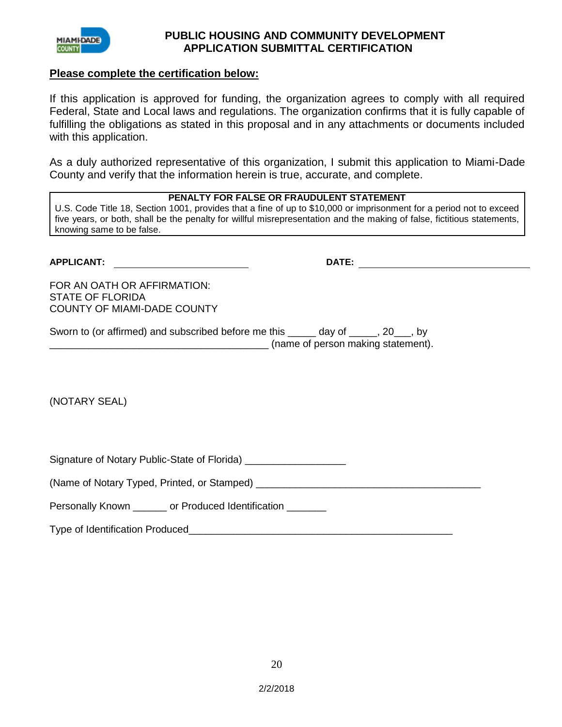

### **PUBLIC HOUSING AND COMMUNITY DEVELOPMENT APPLICATION SUBMITTAL CERTIFICATION**

### **Please complete the certification below:**

If this application is approved for funding, the organization agrees to comply with all required Federal, State and Local laws and regulations. The organization confirms that it is fully capable of fulfilling the obligations as stated in this proposal and in any attachments or documents included with this application.

As a duly authorized representative of this organization, I submit this application to Miami-Dade County and verify that the information herein is true, accurate, and complete.

### **PENALTY FOR FALSE OR FRAUDULENT STATEMENT**

U.S. Code Title 18, Section 1001, provides that a fine of up to \$10,000 or imprisonment for a period not to exceed five years, or both, shall be the penalty for willful misrepresentation and the making of false, fictitious statements, knowing same to be false.

| <b>APPLICANT:</b>                                                                            | DATE:                              |
|----------------------------------------------------------------------------------------------|------------------------------------|
| FOR AN OATH OR AFFIRMATION:<br><b>STATE OF FLORIDA</b><br><b>COUNTY OF MIAMI-DADE COUNTY</b> |                                    |
| Sworn to (or affirmed) and subscribed before me this ______ day of _____, 20___, by          | (name of person making statement). |
|                                                                                              |                                    |
| (NOTARY SEAL)                                                                                |                                    |

Signature of Notary Public-State of Florida) \_\_\_\_\_\_\_\_\_\_\_\_\_\_\_\_\_\_\_\_\_\_\_\_\_\_\_\_\_\_\_\_\_\_\_

(Name of Notary Typed, Printed, or Stamped) \_\_\_\_\_\_\_\_\_\_\_\_\_\_\_\_\_\_\_\_\_\_\_\_\_\_\_\_\_\_\_\_\_\_\_\_\_\_\_\_

Personally Known or Produced Identification

Type of Identification Produced\_\_\_\_\_\_\_\_\_\_\_\_\_\_\_\_\_\_\_\_\_\_\_\_\_\_\_\_\_\_\_\_\_\_\_\_\_\_\_\_\_\_\_\_\_\_\_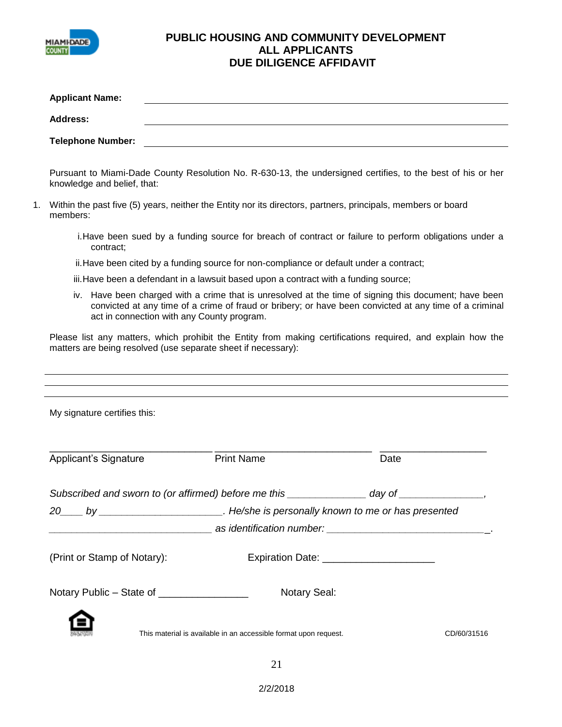

## **PUBLIC HOUSING AND COMMUNITY DEVELOPMENT ALL APPLICANTS DUE DILIGENCE AFFIDAVIT**

|    | <b>Applicant Name:</b>                       |                                                                                                                                                                                                                                                               |                                         |  |
|----|----------------------------------------------|---------------------------------------------------------------------------------------------------------------------------------------------------------------------------------------------------------------------------------------------------------------|-----------------------------------------|--|
|    | <b>Address:</b>                              |                                                                                                                                                                                                                                                               |                                         |  |
|    | <b>Telephone Number:</b>                     |                                                                                                                                                                                                                                                               |                                         |  |
|    | knowledge and belief, that:                  | Pursuant to Miami-Dade County Resolution No. R-630-13, the undersigned certifies, to the best of his or her                                                                                                                                                   |                                         |  |
| 1. | members:                                     | Within the past five (5) years, neither the Entity nor its directors, partners, principals, members or board                                                                                                                                                  |                                         |  |
|    | contract;                                    | i. Have been sued by a funding source for breach of contract or failure to perform obligations under a                                                                                                                                                        |                                         |  |
|    |                                              | ii. Have been cited by a funding source for non-compliance or default under a contract;                                                                                                                                                                       |                                         |  |
|    |                                              | iii. Have been a defendant in a lawsuit based upon a contract with a funding source;                                                                                                                                                                          |                                         |  |
|    |                                              | iv. Have been charged with a crime that is unresolved at the time of signing this document; have been<br>convicted at any time of a crime of fraud or bribery; or have been convicted at any time of a criminal<br>act in connection with any County program. |                                         |  |
|    |                                              | Please list any matters, which prohibit the Entity from making certifications required, and explain how the<br>matters are being resolved (use separate sheet if necessary):                                                                                  |                                         |  |
|    | My signature certifies this:                 |                                                                                                                                                                                                                                                               |                                         |  |
|    | <b>Applicant's Signature</b>                 | <b>Print Name</b>                                                                                                                                                                                                                                             | Date                                    |  |
|    |                                              | Subscribed and sworn to (or affirmed) before me this ______________ day of _____________,                                                                                                                                                                     |                                         |  |
|    |                                              | 20____ by ___________________________. He/she is personally known to me or has presented                                                                                                                                                                      |                                         |  |
|    | (Print or Stamp of Notary):                  |                                                                                                                                                                                                                                                               | Expiration Date: ______________________ |  |
|    | Notary Public - State of ___________________ | <b>Notary Seal:</b>                                                                                                                                                                                                                                           |                                         |  |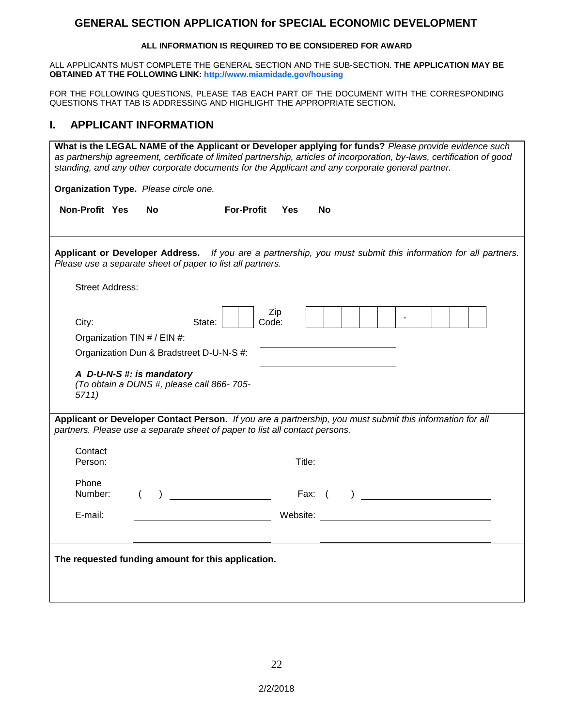## **GENERAL SECTION APPLICATION for SPECIAL ECONOMIC DEVELOPMENT**

#### **ALL INFORMATION IS REQUIRED TO BE CONSIDERED FOR AWARD**

ALL APPLICANTS MUST COMPLETE THE GENERAL SECTION AND THE SUB-SECTION. **THE APPLICATION MAY BE OBTAINED AT THE FOLLOWING LINK: http://www.miamidade.gov/housing**

FOR THE FOLLOWING QUESTIONS, PLEASE TAB EACH PART OF THE DOCUMENT WITH THE CORRESPONDING QUESTIONS THAT TAB IS ADDRESSING AND HIGHLIGHT THE APPROPRIATE SECTION**.** 

## **I. APPLICANT INFORMATION**

|                                                    | What is the LEGAL NAME of the Applicant or Developer applying for funds? Please provide evidence such<br>as partnership agreement, certificate of limited partnership, articles of incorporation, by-laws, certification of good<br>standing, and any other corporate documents for the Applicant and any corporate general partner.                                                                                                   |                   |            |    |                                           |  |  |  |  |
|----------------------------------------------------|----------------------------------------------------------------------------------------------------------------------------------------------------------------------------------------------------------------------------------------------------------------------------------------------------------------------------------------------------------------------------------------------------------------------------------------|-------------------|------------|----|-------------------------------------------|--|--|--|--|
|                                                    | Organization Type. Please circle one.                                                                                                                                                                                                                                                                                                                                                                                                  |                   |            |    |                                           |  |  |  |  |
| Non-Profit Yes                                     | No.                                                                                                                                                                                                                                                                                                                                                                                                                                    | <b>For-Profit</b> | <b>Yes</b> | No |                                           |  |  |  |  |
|                                                    | Applicant or Developer Address. If you are a partnership, you must submit this information for all partners.<br>Please use a separate sheet of paper to list all partners.                                                                                                                                                                                                                                                             |                   |            |    |                                           |  |  |  |  |
| Street Address:                                    |                                                                                                                                                                                                                                                                                                                                                                                                                                        |                   |            |    |                                           |  |  |  |  |
| City:<br>Organization TIN # / EIN #:               | State:                                                                                                                                                                                                                                                                                                                                                                                                                                 | Code:             | Zip        |    |                                           |  |  |  |  |
|                                                    | Organization Dun & Bradstreet D-U-N-S #:                                                                                                                                                                                                                                                                                                                                                                                               |                   |            |    |                                           |  |  |  |  |
| 5711)                                              | A D-U-N-S #: is mandatory<br>(To obtain a DUNS #, please call 866-705-                                                                                                                                                                                                                                                                                                                                                                 |                   |            |    |                                           |  |  |  |  |
|                                                    | Applicant or Developer Contact Person. If you are a partnership, you must submit this information for all<br>partners. Please use a separate sheet of paper to list all contact persons.                                                                                                                                                                                                                                               |                   |            |    |                                           |  |  |  |  |
| Contact<br>Person:                                 |                                                                                                                                                                                                                                                                                                                                                                                                                                        |                   |            |    | Title: <u>www.community.community.com</u> |  |  |  |  |
| Phone<br>Number:                                   | ) and the same state $\left(\begin{array}{ccc} 0 & 0 \end{array}\right)$ and $\left(\begin{array}{ccc} 0 & 0 \end{array}\right)$ and $\left(\begin{array}{ccc} 0 & 0 \end{array}\right)$ and $\left(\begin{array}{ccc} 0 & 0 \end{array}\right)$ and $\left(\begin{array}{ccc} 0 & 0 \end{array}\right)$ and $\left(\begin{array}{ccc} 0 & 0 \end{array}\right)$ and $\left(\begin{array}{ccc} 0 & 0 \end{array}\right)$ and $\left(\$ |                   |            |    |                                           |  |  |  |  |
| E-mail:                                            |                                                                                                                                                                                                                                                                                                                                                                                                                                        |                   |            |    |                                           |  |  |  |  |
| The requested funding amount for this application. |                                                                                                                                                                                                                                                                                                                                                                                                                                        |                   |            |    |                                           |  |  |  |  |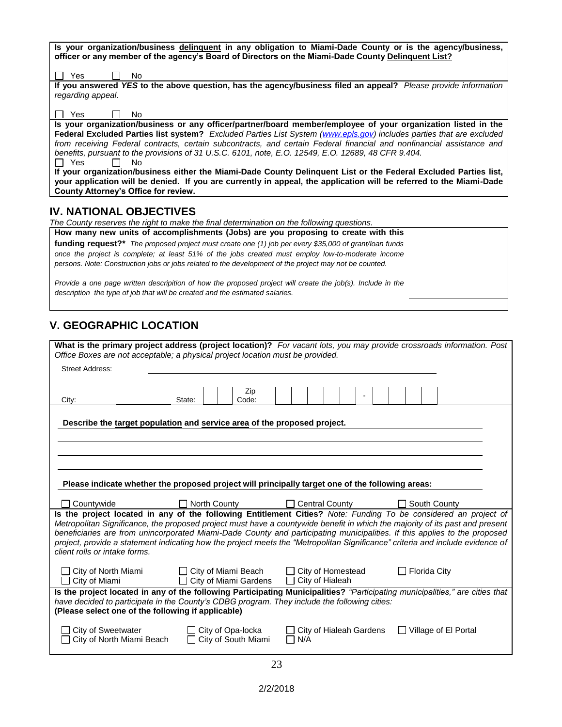| Is your organization/business delinquent in any obligation to Miami-Dade County or is the agency/business,            |
|-----------------------------------------------------------------------------------------------------------------------|
| officer or any member of the agency's Board of Directors on the Miami-Dade County Delinguent List?                    |
|                                                                                                                       |
| Yes<br>No.                                                                                                            |
| If you answered YES to the above question, has the agency/business filed an appeal? Please provide information        |
| regarding appeal.                                                                                                     |
|                                                                                                                       |
| Yes<br>No.                                                                                                            |
| Is your organization/business or any officer/partner/board member/employee of your organization listed in the         |
| Federal Excluded Parties list system? Excluded Parties List System (www.epls.gov) includes parties that are excluded  |
| from receiving Federal contracts, certain subcontracts, and certain Federal financial and nonfinancial assistance and |
| benefits, pursuant to the provisions of 31 U.S.C. 6101, note, E.O. 12549, E.O. 12689, 48 CFR 9.404.                   |
| <b>Yes</b><br>No.                                                                                                     |
| If your organization/business either the Miami-Dade County Delinquent List or the Federal Excluded Parties list,      |
| your application will be denied. If you are currently in appeal, the application will be referred to the Miami-Dade   |
| County Attorney's Office for review.                                                                                  |
|                                                                                                                       |
| <b>IV. NATIONAL OBJECTIVES</b>                                                                                        |

*The County reserves the right to make the final determination on the following questions.*

| How many new units of accomplishments (Jobs) are you proposing to create with this                     |
|--------------------------------------------------------------------------------------------------------|
| funding request?* The proposed project must create one (1) job per every \$35,000 of grant/loan funds  |
| once the project is complete; at least 51% of the jobs created must employ low-to-moderate income      |
| persons. Note: Construction jobs or jobs related to the development of the project may not be counted. |

*Provide a one page written descripition of how the proposed project will create the job(s). Include in the description the type of job that will be created and the estimated salaries.*

## **V. GEOGRAPHIC LOCATION**

| Office Boxes are not acceptable; a physical project location must be provided.                                                                                                                                               |                                              |                                                                                                  | What is the primary project address (project location)? For vacant lots, you may provide crossroads information. Post                                                                                                                           |  |  |
|------------------------------------------------------------------------------------------------------------------------------------------------------------------------------------------------------------------------------|----------------------------------------------|--------------------------------------------------------------------------------------------------|-------------------------------------------------------------------------------------------------------------------------------------------------------------------------------------------------------------------------------------------------|--|--|
| <b>Street Address:</b>                                                                                                                                                                                                       |                                              |                                                                                                  |                                                                                                                                                                                                                                                 |  |  |
|                                                                                                                                                                                                                              | Zip                                          |                                                                                                  |                                                                                                                                                                                                                                                 |  |  |
| City:                                                                                                                                                                                                                        | Code:<br>State:                              |                                                                                                  |                                                                                                                                                                                                                                                 |  |  |
|                                                                                                                                                                                                                              |                                              |                                                                                                  |                                                                                                                                                                                                                                                 |  |  |
| Describe the target population and service area of the proposed project.                                                                                                                                                     |                                              |                                                                                                  |                                                                                                                                                                                                                                                 |  |  |
|                                                                                                                                                                                                                              |                                              |                                                                                                  |                                                                                                                                                                                                                                                 |  |  |
|                                                                                                                                                                                                                              |                                              |                                                                                                  |                                                                                                                                                                                                                                                 |  |  |
|                                                                                                                                                                                                                              |                                              |                                                                                                  |                                                                                                                                                                                                                                                 |  |  |
|                                                                                                                                                                                                                              |                                              | Please indicate whether the proposed project will principally target one of the following areas: |                                                                                                                                                                                                                                                 |  |  |
| Countywide                                                                                                                                                                                                                   | North County                                 | Central County                                                                                   | South County                                                                                                                                                                                                                                    |  |  |
|                                                                                                                                                                                                                              |                                              |                                                                                                  | Is the project located in any of the following Entitlement Cities? Note: Funding To be considered an project of<br>Metropolitan Significance, the proposed project must have a countywide benefit in which the majority of its past and present |  |  |
|                                                                                                                                                                                                                              |                                              |                                                                                                  | beneficiaries are from unincorporated Miami-Dade County and participating municipalities. If this applies to the proposed                                                                                                                       |  |  |
| client rolls or intake forms.                                                                                                                                                                                                |                                              |                                                                                                  | project, provide a statement indicating how the project meets the "Metropolitan Significance" criteria and include evidence of                                                                                                                  |  |  |
|                                                                                                                                                                                                                              |                                              |                                                                                                  |                                                                                                                                                                                                                                                 |  |  |
| City of North Miami<br>City of Miami<br>l 1                                                                                                                                                                                  | City of Miami Beach<br>City of Miami Gardens | □ City of Homestead<br>City of Hialeah<br>$\perp$                                                | $\Box$ Florida City                                                                                                                                                                                                                             |  |  |
| Is the project located in any of the following Participating Municipalities? "Participating municipalities," are cities that<br>have decided to participate in the County's CDBG program. They include the following cities: |                                              |                                                                                                  |                                                                                                                                                                                                                                                 |  |  |
| (Please select one of the following if applicable)                                                                                                                                                                           |                                              |                                                                                                  |                                                                                                                                                                                                                                                 |  |  |
|                                                                                                                                                                                                                              |                                              |                                                                                                  |                                                                                                                                                                                                                                                 |  |  |
| City of North Miami Beach                                                                                                                                                                                                    | City of South Miami                          | N/A<br>ΙI                                                                                        |                                                                                                                                                                                                                                                 |  |  |
| <b>City of Sweetwater</b>                                                                                                                                                                                                    | $\Box$ City of Opa-locka                     | City of Hialeah Gardens                                                                          | Village of El Portal<br>$\perp$                                                                                                                                                                                                                 |  |  |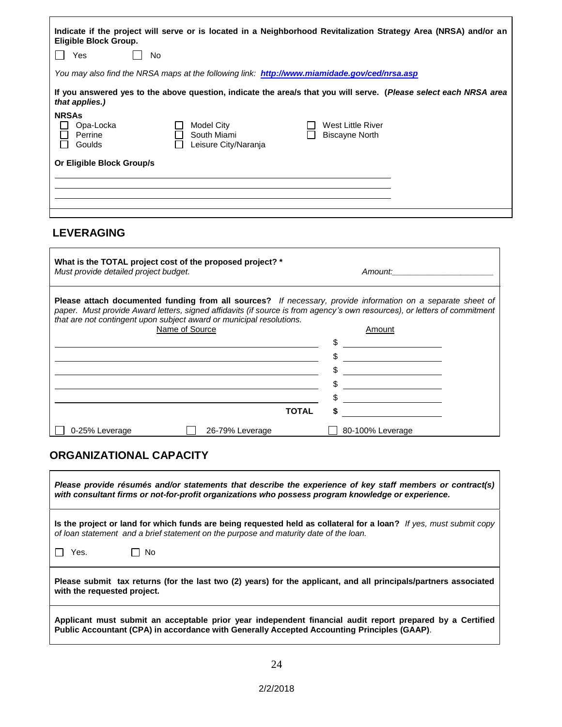| Eligible Block Group.<br>Yes<br>No.                                                                                                 |                                                   | Indicate if the project will serve or is located in a Neighborhood Revitalization Strategy Area (NRSA) and/or an |  |
|-------------------------------------------------------------------------------------------------------------------------------------|---------------------------------------------------|------------------------------------------------------------------------------------------------------------------|--|
| You may also find the NRSA maps at the following link: <b>http://www.miamidade.gov/ced/nrsa.asp</b>                                 |                                                   |                                                                                                                  |  |
| If you answered yes to the above question, indicate the area/s that you will serve. (Please select each NRSA area<br>that applies.) |                                                   |                                                                                                                  |  |
| <b>NRSAs</b><br>Opa-Locka<br>Perrine<br>Goulds<br>Or Eligible Block Group/s                                                         | Model City<br>South Miami<br>Leisure City/Naranja | West Little River<br>Biscayne North                                                                              |  |
|                                                                                                                                     |                                                   |                                                                                                                  |  |

## **LEVERAGING**

| What is the TOTAL project cost of the proposed project? *<br>Must provide detailed project budget.                                                                                                                                                                                                                      | Amount: Amount:  |  |  |  |
|-------------------------------------------------------------------------------------------------------------------------------------------------------------------------------------------------------------------------------------------------------------------------------------------------------------------------|------------------|--|--|--|
| <b>Please attach documented funding from all sources?</b> If necessary, provide information on a separate sheet of<br>paper. Must provide Award letters, signed affidavits (if source is from agency's own resources), or letters of commitment<br>that are not contingent upon subject award or municipal resolutions. |                  |  |  |  |
| Name of Source                                                                                                                                                                                                                                                                                                          | Amount           |  |  |  |
|                                                                                                                                                                                                                                                                                                                         |                  |  |  |  |
|                                                                                                                                                                                                                                                                                                                         |                  |  |  |  |
|                                                                                                                                                                                                                                                                                                                         |                  |  |  |  |
|                                                                                                                                                                                                                                                                                                                         |                  |  |  |  |
|                                                                                                                                                                                                                                                                                                                         |                  |  |  |  |
|                                                                                                                                                                                                                                                                                                                         |                  |  |  |  |
| TOTAL                                                                                                                                                                                                                                                                                                                   |                  |  |  |  |
| 0-25% Leverage<br>26-79% Leverage                                                                                                                                                                                                                                                                                       | 80-100% Leverage |  |  |  |

## **ORGANIZATIONAL CAPACITY**

| Please provide résumés and/or statements that describe the experience of key staff members or contract(s)<br>with consultant firms or not-for-profit organizations who possess program knowledge or experience. |  |  |
|-----------------------------------------------------------------------------------------------------------------------------------------------------------------------------------------------------------------|--|--|
| Is the project or land for which funds are being requested held as collateral for a loan? If yes, must submit copy<br>of loan statement and a brief statement on the purpose and maturity date of the loan.     |  |  |
| - No<br>Yes.                                                                                                                                                                                                    |  |  |
| Please submit tax returns (for the last two (2) years) for the applicant, and all principals/partners associated<br>with the requested project.                                                                 |  |  |
| Applicant must submit an acceptable prior year independent financial audit report prepared by a Certified<br>Public Accountant (CPA) in accordance with Generally Accepted Accounting Principles (GAAP).        |  |  |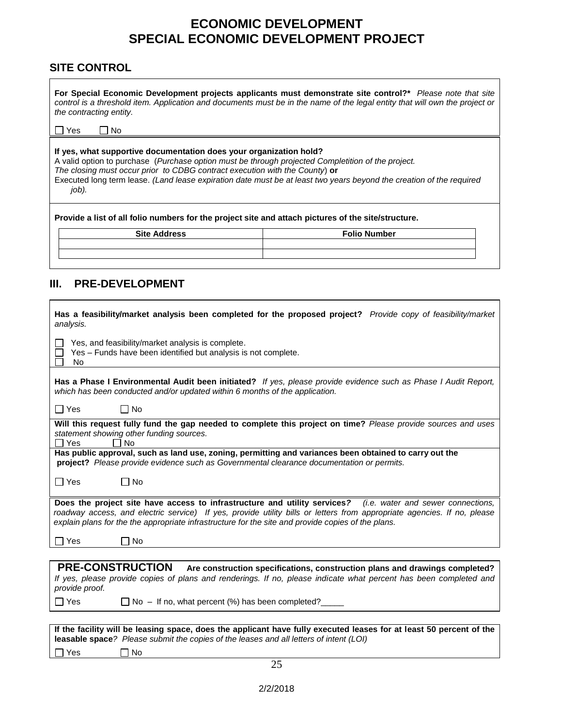## **ECONOMIC DEVELOPMENT SPECIAL ECONOMIC DEVELOPMENT PROJECT**

## **SITE CONTROL**

**For Special Economic Development projects applicants must demonstrate site control?\*** *Please note that site control is a threshold item. Application and documents must be in the name of the legal entity that will own the project or the contracting entity.*

 $\Box$  Yes  $\Box$  No

#### **If yes, what supportive documentation does your organization hold?**

A valid option to purchase (*Purchase option must be through projected Completition of the project.* 

*The closing must occur prior to CDBG contract execution with the County*) **or**

Executed long term lease. *(Land lease expiration date must be at least two years beyond the creation of the required job).* 

**Provide a list of all folio numbers for the project site and attach pictures of the site/structure.** 

| <b>Site Address</b> | <b>Folio Number</b> |
|---------------------|---------------------|
|                     |                     |
|                     |                     |

### **III. PRE-DEVELOPMENT**

| Has a feasibility/market analysis been completed for the proposed project? Provide copy of feasibility/market<br>analysis.                                                                                                                                                                                                                    |  |  |
|-----------------------------------------------------------------------------------------------------------------------------------------------------------------------------------------------------------------------------------------------------------------------------------------------------------------------------------------------|--|--|
| Yes, and feasibility/market analysis is complete.<br>Yes - Funds have been identified but analysis is not complete.<br>No                                                                                                                                                                                                                     |  |  |
| Has a Phase I Environmental Audit been initiated? If yes, please provide evidence such as Phase I Audit Report,<br>which has been conducted and/or updated within 6 months of the application.                                                                                                                                                |  |  |
| ∏ Yes<br>$\Box$ No                                                                                                                                                                                                                                                                                                                            |  |  |
| Will this request fully fund the gap needed to complete this project on time? Please provide sources and uses<br>statement showing other funding sources.<br><b>No</b><br>$\sqcap$ Yes                                                                                                                                                        |  |  |
| Has public approval, such as land use, zoning, permitting and variances been obtained to carry out the<br>project? Please provide evidence such as Governmental clearance documentation or permits.                                                                                                                                           |  |  |
| ∏ Yes<br>□ No                                                                                                                                                                                                                                                                                                                                 |  |  |
| Does the project site have access to infrastructure and utility services? (i.e. water and sewer connections,<br>roadway access, and electric service) If yes, provide utility bills or letters from appropriate agencies. If no, please<br>explain plans for the the appropriate infrastructure for the site and provide copies of the plans. |  |  |
| □ Yes<br><b>No</b>                                                                                                                                                                                                                                                                                                                            |  |  |
|                                                                                                                                                                                                                                                                                                                                               |  |  |
| <b>PRE-CONSTRUCTION</b><br>Are construction specifications, construction plans and drawings completed?<br>If yes, please provide copies of plans and renderings. If no, please indicate what percent has been completed and<br>provide proof.                                                                                                 |  |  |
| $\Box$ Yes<br>$\Box$ No - If no, what percent (%) has been completed?                                                                                                                                                                                                                                                                         |  |  |
|                                                                                                                                                                                                                                                                                                                                               |  |  |
| If the facility will be leasing space, does the applicant have fully executed leases for at least 50 percent of the<br><b>leasable space</b> ? Please submit the copies of the leases and all letters of intent (LOI)                                                                                                                         |  |  |
| No<br>Yes                                                                                                                                                                                                                                                                                                                                     |  |  |
| 25                                                                                                                                                                                                                                                                                                                                            |  |  |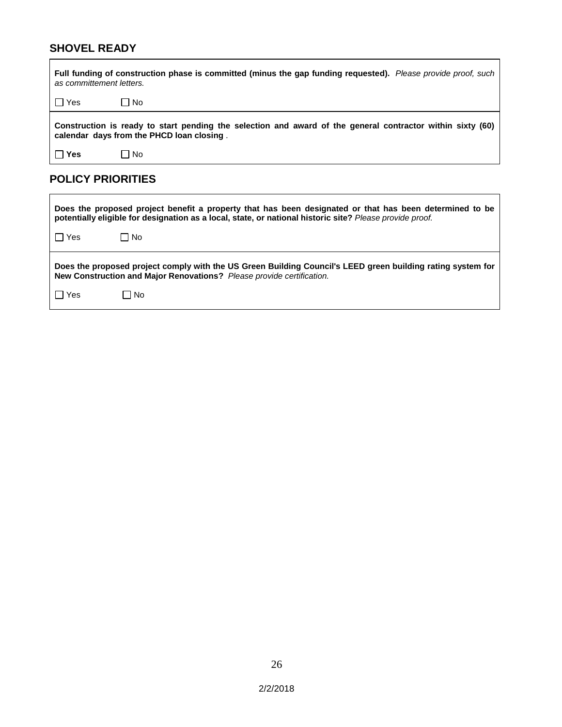## **SHOVEL READY**

Ē.

| Full funding of construction phase is committed (minus the gap funding requested). Please provide proof, such<br>as committement letters.               |           |  |
|---------------------------------------------------------------------------------------------------------------------------------------------------------|-----------|--|
| Yes                                                                                                                                                     | ∣No       |  |
| Construction is ready to start pending the selection and award of the general contractor within sixty (60)<br>calendar days from the PHCD loan closing. |           |  |
| Yes                                                                                                                                                     | $\Box$ No |  |

## **POLICY PRIORITIES**

| Does the proposed project benefit a property that has been designated or that has been determined to be<br>potentially eligible for designation as a local, state, or national historic site? Please provide proof. |      |  |
|---------------------------------------------------------------------------------------------------------------------------------------------------------------------------------------------------------------------|------|--|
| I Yes                                                                                                                                                                                                               | □ No |  |
| Does the proposed project comply with the US Green Building Council's LEED green building rating system for<br>New Construction and Major Renovations? Please provide certification.                                |      |  |
| I Yes                                                                                                                                                                                                               | l No |  |

 $\blacksquare$